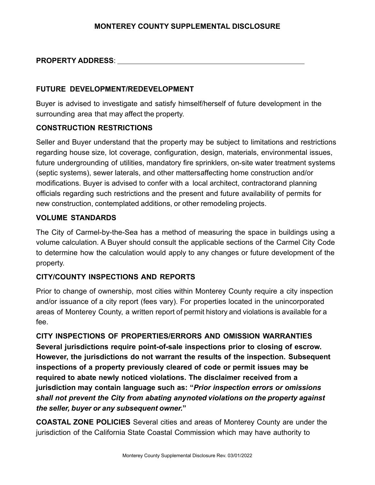#### **PROPERTY ADDRESS**:

#### **FUTURE DEVELOPMENT/REDEVELOPMENT**

Buyer is advised to investigate and satisfy himself/herself of future development in the surrounding area that may affect the property.

#### **CONSTRUCTION RESTRICTIONS**

Seller and Buyer understand that the property may be subject to limitations and restrictions regarding house size, lot coverage, configuration, design, materials, environmental issues, future undergrounding of utilities, mandatory fire sprinklers, on-site water treatment systems (septic systems), sewer laterals, and other mattersaffecting home construction and/or modifications. Buyer is advised to confer with a local architect, contractorand planning officials regarding such restrictions and the present and future availability of permits for new construction, contemplated additions, or other remodeling projects.

#### **VOLUME STANDARDS**

The City of Carmel-by-the-Sea has a method of measuring the space in buildings using a volume calculation. A Buyer should consult the applicable sections of the Carmel City Code to determine how the calculation would apply to any changes or future development of the property.

#### **CITY/COUNTY INSPECTIONS AND REPORTS**

Prior to change of ownership, most cities within Monterey County require a city inspection and/or issuance of a city report (fees vary). For properties located in the unincorporated areas of Monterey County, a written report of permit history and violations is available for a fee.

**CITY INSPECTIONS OF PROPERTIES/ERRORS AND OMISSION WARRANTIES Several jurisdictions require point-of-sale inspections prior to closing of escrow. However, the jurisdictions do not warrant the results of the inspection. Subsequent inspections of a property previously cleared of code or permit issues may be required to abate newly noticed violations. The disclaimer received from a jurisdiction may contain language such as: "***Prior inspection errors or omissions shall not prevent the City from abating anynoted violations on the property against the seller, buyer or any subsequent owner.***"**

**COASTAL ZONE POLICIES** Several cities and areas of Monterey County are under the jurisdiction of the California State Coastal Commission which may have authority to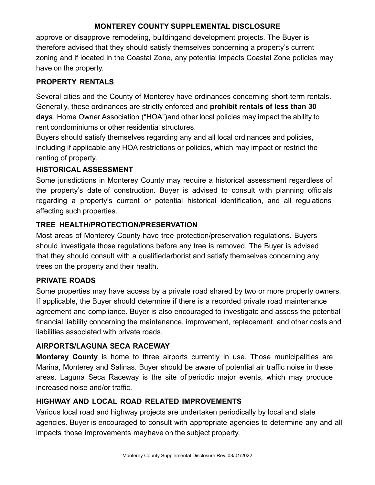approve or disapprove remodeling, buildingand development projects. The Buyer is therefore advised that they should satisfy themselves concerning a property's current zoning and if located in the Coastal Zone, any potential impacts Coastal Zone policies may have on the property.

## **PROPERTY RENTALS**

Several cities and the County of Monterey have ordinances concerning short-term rentals. Generally, these ordinances are strictly enforced and **prohibit rentals of less than 30 days**. Home Owner Association ("HOA")and other local policies may impact the ability to rent condominiums or other residential structures.

Buyers should satisfy themselves regarding any and all local ordinances and policies, including if applicable,any HOA restrictions or policies, which may impact or restrict the renting of property.

#### **HISTORICAL ASSESSMENT**

Some jurisdictions in Monterey County may require a historical assessment regardless of the property's date of construction. Buyer is advised to consult with planning officials regarding a property's current or potential historical identification, and all regulations affecting such properties.

## **TREE HEALTH/PROTECTION/PRESERVATION**

Most areas of Monterey County have tree protection/preservation regulations. Buyers should investigate those regulations before any tree is removed. The Buyer is advised that they should consult with a qualifiedarborist and satisfy themselves concerning any trees on the property and their health.

## **PRIVATE ROADS**

Some properties may have access by a private road shared by two or more property owners. If applicable, the Buyer should determine if there is a recorded private road maintenance agreement and compliance. Buyer is also encouraged to investigate and assess the potential financial liability concerning the maintenance, improvement, replacement, and other costs and liabilities associated with private roads.

## **AIRPORTS/LAGUNA SECA RACEWAY**

**Monterey County** is home to three airports currently in use. Those municipalities are Marina, Monterey and Salinas. Buyer should be aware of potential air traffic noise in these areas. Laguna Seca Raceway is the site of periodic major events, which may produce increased noise and/or traffic.

# **HIGHWAY AND LOCAL ROAD RELATED IMPROVEMENTS**

Various local road and highway projects are undertaken periodically by local and state agencies. Buyer is encouraged to consult with appropriate agencies to determine any and all impacts those improvements mayhave on the subject property.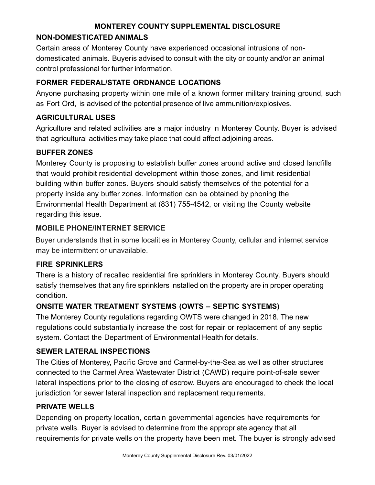#### **NON-DOMESTICATED ANIMALS**

Certain areas of Monterey County have experienced occasional intrusions of nondomesticated animals. Buyeris advised to consult with the city or county and/or an animal control professional for further information.

## **FORMER FEDERAL/STATE ORDNANCE LOCATIONS**

Anyone purchasing property within one mile of a known former military training ground, such as Fort Ord, is advised of the potential presence of live ammunition/explosives.

## **AGRICULTURAL USES**

Agriculture and related activities are a major industry in Monterey County. Buyer is advised that agricultural activities may take place that could affect adjoining areas.

## **BUFFER ZONES**

Monterey County is proposing to establish buffer zones around active and closed landfills that would prohibit residential development within those zones, and limit residential building within buffer zones. Buyers should satisfy themselves of the potential for a property inside any buffer zones. Information can be obtained by phoning the Environmental Health Department at (831) 755-4542, or visiting the County website regarding this issue.

## **MOBILE PHONE/INTERNET SERVICE**

Buyer understands that in some localities in Monterey County, cellular and internet service may be intermittent or unavailable.

## **FIRE SPRINKLERS**

There is a history of recalled residential fire sprinklers in Monterey County. Buyers should satisfy themselves that any fire sprinklers installed on the property are in proper operating condition.

# **ONSITE WATER TREATMENT SYSTEMS (OWTS – SEPTIC SYSTEMS)**

The Monterey County regulations regarding OWTS were changed in 2018. The new regulations could substantially increase the cost for repair or replacement of any septic system. Contact the Department of Environmental Health for details.

## **SEWER LATERAL INSPECTIONS**

The Cities of Monterey, Pacific Grove and Carmel-by-the-Sea as well as other structures connected to the Carmel Area Wastewater District (CAWD) require point-of-sale sewer lateral inspections prior to the closing of escrow. Buyers are encouraged to check the local jurisdiction for sewer lateral inspection and replacement requirements.

## **PRIVATE WELLS**

Depending on property location, certain governmental agencies have requirements for private wells. Buyer is advised to determine from the appropriate agency that all requirements for private wells on the property have been met. The buyer is strongly advised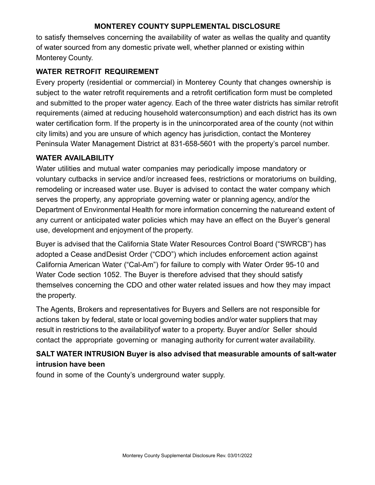to satisfy themselves concerning the availability of water as wellas the quality and quantity of water sourced from any domestic private well, whether planned or existing within Monterey County.

## **WATER RETROFIT REQUIREMENT**

Every property (residential or commercial) in Monterey County that changes ownership is subject to the water retrofit requirements and a retrofit certification form must be completed and submitted to the proper water agency. Each of the three water districts has similar retrofit requirements (aimed at reducing household waterconsumption) and each district has its own water certification form. If the property is in the unincorporated area of the county (not within city limits) and you are unsure of which agency has jurisdiction, contact the Monterey Peninsula Water Management District at 831-658-5601 with the property's parcel number.

#### **WATER AVAILABILITY**

Water utilities and mutual water companies may periodically impose mandatory or voluntary cutbacks in service and/or increased fees, restrictions or moratoriums on building, remodeling or increased water use. Buyer is advised to contact the water company which serves the property, any appropriate governing water or planning agency, and/or the Department of Environmental Health for more information concerning the natureand extent of any current or anticipated water policies which may have an effect on the Buyer's general use, development and enjoyment of the property.

Buyer is advised that the California State Water Resources Control Board ("SWRCB") has adopted a Cease andDesist Order ("CDO") which includes enforcement action against California American Water ("Cal-Am") for failure to comply with Water Order 95-10 and Water Code section 1052. The Buyer is therefore advised that they should satisfy themselves concerning the CDO and other water related issues and how they may impact the property.

The Agents, Brokers and representatives for Buyers and Sellers are not responsible for actions taken by federal, state or local governing bodies and/or water suppliers that may result in restrictions to the availabilityof water to a property. Buyer and/or Seller should contact the appropriate governing or managing authority for current water availability.

# **SALT WATER INTRUSION Buyer is also advised that measurable amounts of salt-water intrusion have been**

found in some of the County's underground water supply.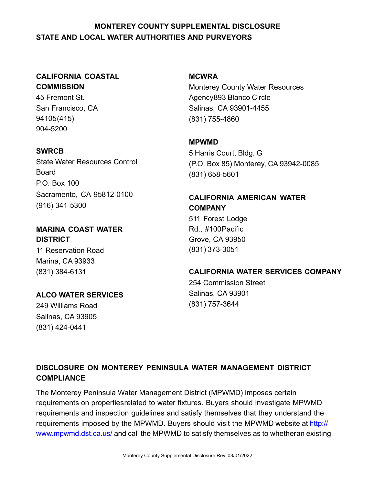## **MONTEREY COUNTY SUPPLEMENTAL DISCLOSURE STATE AND LOCAL WATER AUTHORITIES AND PURVEYORS**

## **CALIFORNIA COASTAL COMMISSION**

45 Fremont St. San Francisco, CA 94105(415) 904-5200

#### **SWRCB**

State Water Resources Control Board P.O. Box 100 Sacramento, CA 95812-0100 (916) 341-5300

#### **MARINA COAST WATER DISTRICT**

11 Reservation Road Marina, CA 93933 (831) 384-6131

## **ALCO WATER SERVICES**

249 Williams Road Salinas, CA 93905 (831) 424-0441

#### **MCWRA**

Monterey County Water Resources Agency893 Blanco Circle Salinas, CA 93901-4455 (831) 755-4860

#### **MPWMD**

5 Harris Court, Bldg. G (P.O. Box 85) Monterey, CA 93942-0085 (831) 658-5601

# **CALIFORNIA AMERICAN WATER COMPANY** 511 Forest Lodge

Rd., #100Pacific Grove, CA 93950 (831) 373-3051

# **CALIFORNIA WATER SERVICES COMPANY** 254 Commission Street Salinas, CA 93901 (831) 757-3644

## **DISCLOSURE ON MONTEREY PENINSULA WATER MANAGEMENT DISTRICT COMPLIANCE**

The Monterey Peninsula Water Management District (MPWMD) imposes certain requirements on propertiesrelated to water fixtures. Buyers should investigate MPWMD requirements and inspection guidelines and satisfy themselves that they understand the requirements imposed by the MPWMD. Buyers should visit the MPWMD website at [http://](http://www.mpwmd.dst.ca.us/) [www.mpwmd.dst.ca.us/](http://www.mpwmd.dst.ca.us/) and call the MPWMD to satisfy themselves as to whetheran existing